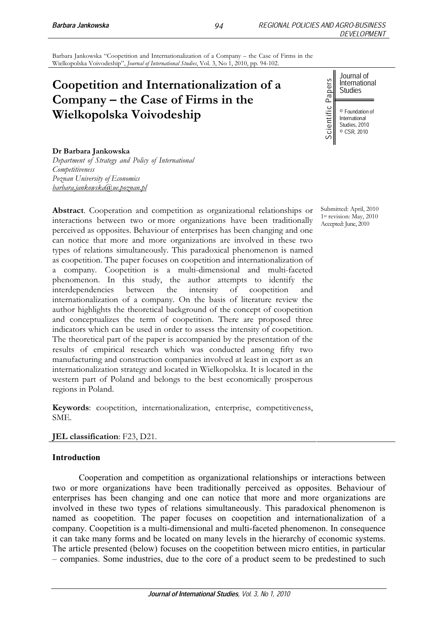Barbara Jankowska "Coopetition and Internationalization of a Company – the Case of Firms in the Wielkopolska Voivodeship", *Journal of International Studies*, Vol. 3, No 1, 2010, pp. 94-102.

# **Coopetition and Internationalization of a Company – the Case of Firms in the Wielkopolska Voivodeship**

Journal of International Studies

© Foundation of International Studies, 2010 © CSR, 2010

## **Dr Barbara Jankowska**

*Department of Strategy and Policy of International Competitiveness Poznan University of Economics barbara.jankowska@ue.poznan.pl*

**Abstract**. Cooperation and competition as organizational relationships or interactions between two or more organizations have been traditionally perceived as opposites. Behaviour of enterprises has been changing and one can notice that more and more organizations are involved in these two types of relations simultaneously. This paradoxical phenomenon is named as coopetition. The paper focuses on coopetition and internationalization of a company. Coopetition is a multi-dimensional and multi-faceted phenomenon. In this study, the author attempts to identify the interdependencies between the intensity of coopetition and internationalization of a company. On the basis of literature review the author highlights the theoretical background of the concept of coopetition and conceptualizes the term of coopetition. There are proposed three indicators which can be used in order to assess the intensity of coopetition. The theoretical part of the paper is accompanied by the presentation of the results of empirical research which was conducted among fifty two manufacturing and construction companies involved at least in export as an internationalization strategy and located in Wielkopolska. It is located in the western part of Poland and belongs to the best economically prosperous regions in Poland. **Cooperition and Internationalization of a<br>
Company – the Case of Firms in the<br>
Wickkopolska Voivodeship<br>
Dr. Barbara Jankuwaka<br>
Dr. Barbara Jankuwaka<br>
Dr. Barbara Jankuwaka<br>
Core of Summaris Core of Summaris and computio** 

**Keywords**: coopetition, internationalization, enterprise, competitiveness, SME.

## **JEL classification:** F23, D21.

## **Introduction**

Cooperation and competition as organizational relationships or interactions between two or more organizations have been traditionally perceived as opposites. Behaviour of enterprises has been changing and one can notice that more and more organizations are involved in these two types of relations simultaneously. This paradoxical phenomenon is named as coopetition. The paper focuses on coopetition and internationalization of a company. Coopetition is a multi-dimensional and multi-faceted phenomenon. In consequence it can take many forms and be located on many levels in the hierarchy of economic systems. The article presented (below) focuses on the coopetition between micro entities, in particular

Submitted: April, 2010 1st revision: May, 2010 Accepted: June, 2010

*94*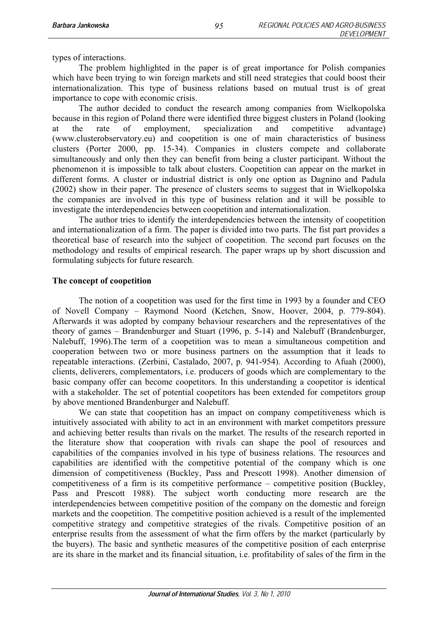types of interactions.

The problem highlighted in the paper is of great importance for Polish companies which have been trying to win foreign markets and still need strategies that could boost their internationalization. This type of business relations based on mutual trust is of great importance to cope with economic crisis.

The author decided to conduct the research among companies from Wielkopolska because in this region of Poland there were identified three biggest clusters in Poland (looking at the rate of employment, specialization and competitive advantage) (www.clusterobservatory.eu) and coopetition is one of main characteristics of business clusters (Porter 2000, pp. 15-34). Companies in clusters compete and collaborate simultaneously and only then they can benefit from being a cluster participant. Without the phenomenon it is impossible to talk about clusters. Coopetition can appear on the market in different forms. A cluster or industrial district is only one option as Dagnino and Padula (2002) show in their paper. The presence of clusters seems to suggest that in Wielkopolska the companies are involved in this type of business relation and it will be possible to investigate the interdependencies between coopetition and internationalization.

The author tries to identify the interdependencies between the intensity of coopetition and internationalization of a firm. The paper is divided into two parts. The fist part provides a theoretical base of research into the subject of coopetition. The second part focuses on the methodology and results of empirical research. The paper wraps up by short discussion and formulating subjects for future research.

## **The concept of coopetition**

The notion of a coopetition was used for the first time in 1993 by a founder and CEO of Novell Company – Raymond Noord (Ketchen, Snow, Hoover, 2004, p. 779-804). Afterwards it was adopted by company behaviour researchers and the representatives of the theory of games – Brandenburger and Stuart (1996, p. 5-14) and Nalebuff (Brandenburger, Nalebuff, 1996).The term of a coopetition was to mean a simultaneous competition and cooperation between two or more business partners on the assumption that it leads to repeatable interactions. (Zerbini, Castalado, 2007, p. 941-954). According to Afuah (2000), clients, deliverers, complementators, i.e. producers of goods which are complementary to the basic company offer can become coopetitors. In this understanding a coopetitor is identical with a stakeholder. The set of potential coopetitors has been extended for competitors group by above mentioned Brandenburger and Nalebuff.

We can state that coopetition has an impact on company competitiveness which is intuitively associated with ability to act in an environment with market competitors pressure and achieving better results than rivals on the market. The results of the research reported in the literature show that cooperation with rivals can shape the pool of resources and capabilities of the companies involved in his type of business relations. The resources and capabilities are identified with the competitive potential of the company which is one dimension of competitiveness (Buckley, Pass and Prescott 1998). Another dimension of competitiveness of a firm is its competitive performance – competitive position (Buckley, Pass and Prescott 1988). The subject worth conducting more research are the interdependencies between competitive position of the company on the domestic and foreign markets and the coopetition. The competitive position achieved is a result of the implemented competitive strategy and competitive strategies of the rivals. Competitive position of an enterprise results from the assessment of what the firm offers by the market (particularly by the buyers). The basic and synthetic measures of the competitive position of each enterprise are its share in the market and its financial situation, i.e. profitability of sales of the firm in the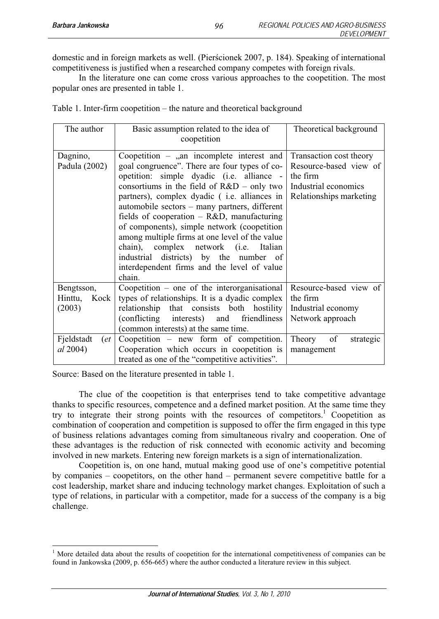domestic and in foreign markets as well. (Pierścionek 2007, p. 184). Speaking of international competitiveness is justified when a researched company competes with foreign rivals.

In the literature one can come cross various approaches to the coopetition. The most popular ones are presented in table 1.

|  |  |  |  | Table 1. Inter-firm coopetition – the nature and theoretical background |
|--|--|--|--|-------------------------------------------------------------------------|
|  |  |  |  |                                                                         |

| The author                              | Basic assumption related to the idea of<br>coopetition                                                                                                                                                                                                                                                                                                                                                                                                                                                                                                                                   | Theoretical background                                                                                           |  |
|-----------------------------------------|------------------------------------------------------------------------------------------------------------------------------------------------------------------------------------------------------------------------------------------------------------------------------------------------------------------------------------------------------------------------------------------------------------------------------------------------------------------------------------------------------------------------------------------------------------------------------------------|------------------------------------------------------------------------------------------------------------------|--|
| Dagnino,<br>Padula (2002)               | Coopetition $-$ , an incomplete interest and<br>goal congruence". There are four types of co-<br>opetition: simple dyadic (i.e. alliance -<br>consortiums in the field of $R&D$ – only two<br>partners), complex dyadic (i.e. alliances in<br>automobile sectors – many partners, different<br>fields of cooperation $-$ R&D, manufacturing<br>of components), simple network (coopetition<br>among multiple firms at one level of the value<br>chain), complex network (i.e. Italian<br>industrial districts) by the number of<br>interdependent firms and the level of value<br>chain. | Transaction cost theory<br>Resource-based view of<br>the firm<br>Industrial economics<br>Relationships marketing |  |
| Bengtsson,<br>Hinttu,<br>Kock<br>(2003) | Coopetition – one of the interorganisational<br>types of relationships. It is a dyadic complex<br>relationship that consists both hostility<br>(conflicting interests) and friendliness<br>(common interests) at the same time.                                                                                                                                                                                                                                                                                                                                                          | Resource-based view of<br>the firm<br>Industrial economy<br>Network approach                                     |  |
| Fjeldstadt<br>(et<br><i>al</i> 2004)    | Coopetition $-$ new form of competition.<br>Cooperation which occurs in coopetition is<br>treated as one of the "competitive activities".                                                                                                                                                                                                                                                                                                                                                                                                                                                | of<br>Theory<br>strategic<br>management                                                                          |  |

Source: Based on the literature presented in table 1.

The clue of the coopetition is that enterprises tend to take competitive advantage thanks to specific resources, competence and a defined market position. At the same time they try to integrate their strong points with the resources of competitors.<sup>1</sup> Coopetition as combination of cooperation and competition is supposed to offer the firm engaged in this type of business relations advantages coming from simultaneous rivalry and cooperation. One of these advantages is the reduction of risk connected with economic activity and becoming involved in new markets. Entering new foreign markets is a sign of internationalization.

Coopetition is, on one hand, mutual making good use of one's competitive potential by companies – coopetitors, on the other hand – permanent severe competitive battle for a cost leadership, market share and inducing technology market changes. Exploitation of such a type of relations, in particular with a competitor, made for a success of the company is a big challenge.

<sup>&</sup>lt;sup>1</sup> More detailed data about the results of coopetition for the international competitiveness of companies can be found in Jankowska (2009, p. 656-665) where the author conducted a literature review in this subject.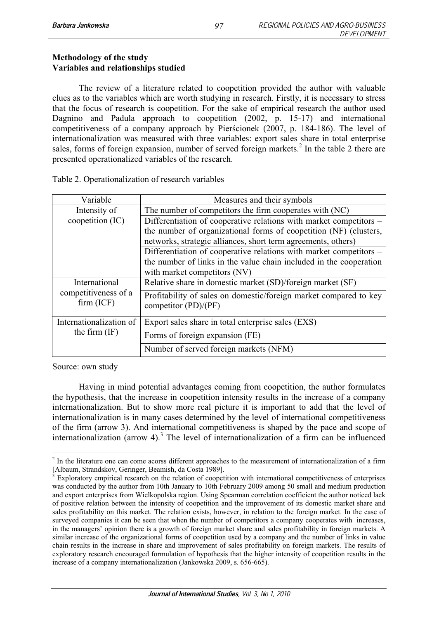## **Methodology of the study Variables and relationships studied**

The review of a literature related to coopetition provided the author with valuable clues as to the variables which are worth studying in research. Firstly, it is necessary to stress that the focus of research is coopetition. For the sake of empirical research the author used Dagnino and Padula approach to coopetition (2002, p. 15-17) and international competitiveness of a company approach by Pierścionek (2007, p. 184-186). The level of internationalization was measured with three variables: export sales share in total enterprise sales, forms of foreign expansion, number of served foreign markets.<sup>2</sup> In the table 2 there are presented operationalized variables of the research.

| Variable                           | Measures and their symbols                                                                                                                                               |  |  |  |
|------------------------------------|--------------------------------------------------------------------------------------------------------------------------------------------------------------------------|--|--|--|
| Intensity of                       | The number of competitors the firm cooperates with (NC)                                                                                                                  |  |  |  |
| coopetition (IC)                   | Differentiation of cooperative relations with market competitors -                                                                                                       |  |  |  |
|                                    | the number of organizational forms of coopetition (NF) (clusters,<br>networks, strategic alliances, short term agreements, others)                                       |  |  |  |
|                                    | Differentiation of cooperative relations with market competitors -<br>the number of links in the value chain included in the cooperation<br>with market competitors (NV) |  |  |  |
| International                      | Relative share in domestic market (SD)/foreign market (SF)                                                                                                               |  |  |  |
| competitiveness of a<br>firm (ICF) | Profitability of sales on domestic/foreign market compared to key<br>competitor (PD)/(PF)                                                                                |  |  |  |
| Internationalization of            | Export sales share in total enterprise sales (EXS)                                                                                                                       |  |  |  |
| the firm $(IF)$                    | Forms of foreign expansion (FE)                                                                                                                                          |  |  |  |
|                                    | Number of served foreign markets (NFM)                                                                                                                                   |  |  |  |

Table 2. Operationalization of research variables

Source: own study

Having in mind potential advantages coming from coopetition, the author formulates the hypothesis, that the increase in coopetition intensity results in the increase of a company internationalization. But to show more real picture it is important to add that the level of internationalization is in many cases determined by the level of international competitiveness of the firm (arrow 3). And international competitiveness is shaped by the pace and scope of internationalization (arrow  $4$ ).<sup>3</sup> The level of internationalization of a firm can be influenced

<sup>&</sup>lt;sup>2</sup> In the literature one can come acorss different approaches to the measurement of internationalization of a firm [Albaum, Strandskov, Geringer, Beamish, da Costa 1989]. 3

Exploratory empirical research on the relation of coopetition with international competitiveness of enterprises was conducted by the author from 10th January to 10th February 2009 among 50 small and medium production and export enterprises from Wielkopolska region. Using Spearman correlation coefficient the author noticed lack of positive relation between the intensity of coopetition and the improvement of its domestic market share and sales profitability on this market. The relation exists, however, in relation to the foreign market. In the case of surveyed companies it can be seen that when the number of competitors a company cooperates with increases, in the managers' opinion there is a growth of foreign market share and sales profitability in foreign markets. A similar increase of the organizational forms of coopetition used by a company and the number of links in value chain results in the increase in share and improvement of sales profitability on foreign markets. The results of exploratory research encouraged formulation of hypothesis that the higher intensity of coopetition results in the increase of a company internationalization (Jankowska 2009, s. 656-665).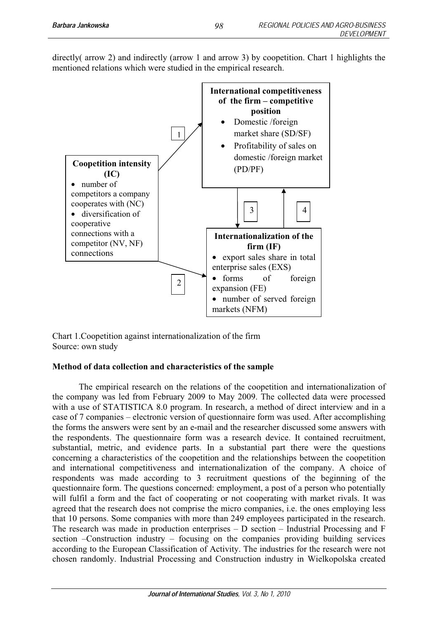directly( arrow 2) and indirectly (arrow 1 and arrow 3) by coopetition. Chart 1 highlights the mentioned relations which were studied in the empirical research.



Chart 1.Coopetition against internationalization of the firm Source: own study

## **Method of data collection and characteristics of the sample**

The empirical research on the relations of the coopetition and internationalization of the company was led from February 2009 to May 2009. The collected data were processed with a use of STATISTICA 8.0 program. In research, a method of direct interview and in a case of 7 companies – electronic version of questionnaire form was used. After accomplishing the forms the answers were sent by an e-mail and the researcher discussed some answers with the respondents. The questionnaire form was a research device. It contained recruitment, substantial, metric, and evidence parts. In a substantial part there were the questions concerning a characteristics of the coopetition and the relationships between the coopetition and international competitiveness and internationalization of the company. A choice of respondents was made according to 3 recruitment questions of the beginning of the questionnaire form. The questions concerned: employment, a post of a person who potentially will fulfil a form and the fact of cooperating or not cooperating with market rivals. It was agreed that the research does not comprise the micro companies, i.e. the ones employing less that 10 persons. Some companies with more than 249 employees participated in the research. The research was made in production enterprises – D section – Industrial Processing and F section –Construction industry – focusing on the companies providing building services according to the European Classification of Activity. The industries for the research were not chosen randomly. Industrial Processing and Construction industry in Wielkopolska created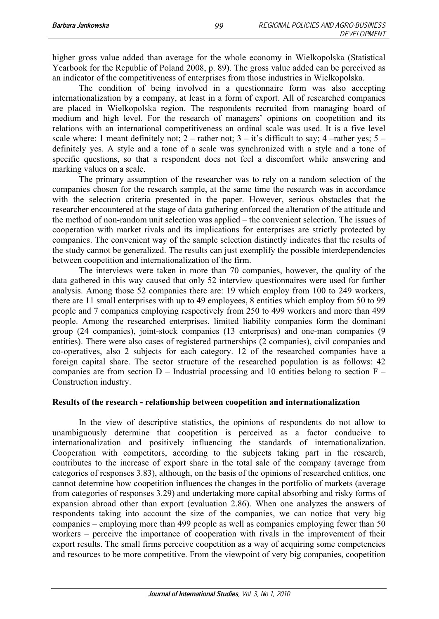higher gross value added than average for the whole economy in Wielkopolska (Statistical Yearbook for the Republic of Poland 2008, p. 89). The gross value added can be perceived as an indicator of the competitiveness of enterprises from those industries in Wielkopolska.

The condition of being involved in a questionnaire form was also accepting internationalization by a company, at least in a form of export. All of researched companies are placed in Wielkopolska region. The respondents recruited from managing board of medium and high level. For the research of managers' opinions on coopetition and its relations with an international competitiveness an ordinal scale was used. It is a five level scale where: 1 meant definitely not;  $2$  – rather not;  $3 - it$ 's difficult to say;  $4$  –rather yes;  $5$ definitely yes. A style and a tone of a scale was synchronized with a style and a tone of specific questions, so that a respondent does not feel a discomfort while answering and marking values on a scale.

The primary assumption of the researcher was to rely on a random selection of the companies chosen for the research sample, at the same time the research was in accordance with the selection criteria presented in the paper. However, serious obstacles that the researcher encountered at the stage of data gathering enforced the alteration of the attitude and the method of non-random unit selection was applied – the convenient selection. The issues of cooperation with market rivals and its implications for enterprises are strictly protected by companies. The convenient way of the sample selection distinctly indicates that the results of the study cannot be generalized. The results can just exemplify the possible interdependencies between coopetition and internationalization of the firm.

The interviews were taken in more than 70 companies, however, the quality of the data gathered in this way caused that only 52 interview questionnaires were used for further analysis. Among those 52 companies there are: 19 which employ from 100 to 249 workers, there are 11 small enterprises with up to 49 employees, 8 entities which employ from 50 to 99 people and 7 companies employing respectively from 250 to 499 workers and more than 499 people. Among the researched enterprises, limited liability companies form the dominant group (24 companies), joint-stock companies (13 enterprises) and one-man companies (9 entities). There were also cases of registered partnerships (2 companies), civil companies and co-operatives, also 2 subjects for each category. 12 of the researched companies have a foreign capital share. The sector structure of the researched population is as follows: 42 companies are from section  $D -$  Industrial processing and 10 entities belong to section  $F -$ Construction industry.

## **Results of the research - relationship between coopetition and internationalization**

In the view of descriptive statistics, the opinions of respondents do not allow to unambiguously determine that coopetition is perceived as a factor conducive to internationalization and positively influencing the standards of internationalization. Cooperation with competitors, according to the subjects taking part in the research, contributes to the increase of export share in the total sale of the company (average from categories of responses 3.83), although, on the basis of the opinions of researched entities, one cannot determine how coopetition influences the changes in the portfolio of markets (average from categories of responses 3.29) and undertaking more capital absorbing and risky forms of expansion abroad other than export (evaluation 2.86). When one analyzes the answers of respondents taking into account the size of the companies, we can notice that very big companies – employing more than 499 people as well as companies employing fewer than 50 workers – perceive the importance of cooperation with rivals in the improvement of their export results. The small firms perceive coopetition as a way of acquiring some competencies and resources to be more competitive. From the viewpoint of very big companies, coopetition

*99*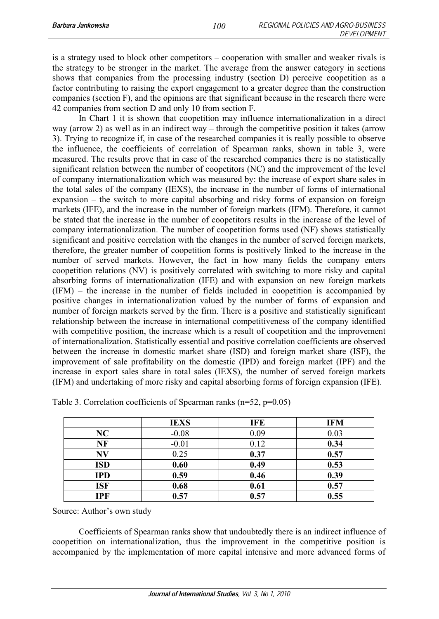is a strategy used to block other competitors – cooperation with smaller and weaker rivals is the strategy to be stronger in the market. The average from the answer category in sections shows that companies from the processing industry (section D) perceive coopetition as a factor contributing to raising the export engagement to a greater degree than the construction companies (section F), and the opinions are that significant because in the research there were 42 companies from section D and only 10 from section F.

*100*

In Chart 1 it is shown that coopetition may influence internationalization in a direct way (arrow 2) as well as in an indirect way – through the competitive position it takes (arrow 3). Trying to recognize if, in case of the researched companies it is really possible to observe the influence, the coefficients of correlation of Spearman ranks, shown in table 3, were measured. The results prove that in case of the researched companies there is no statistically significant relation between the number of coopetitors (NC) and the improvement of the level of company internationalization which was measured by: the increase of export share sales in the total sales of the company (IEXS), the increase in the number of forms of international expansion – the switch to more capital absorbing and risky forms of expansion on foreign markets (IFE), and the increase in the number of foreign markets (IFM). Therefore, it cannot be stated that the increase in the number of coopetitors results in the increase of the level of company internationalization. The number of coopetition forms used (NF) shows statistically significant and positive correlation with the changes in the number of served foreign markets, therefore, the greater number of coopetition forms is positively linked to the increase in the number of served markets. However, the fact in how many fields the company enters coopetition relations (NV) is positively correlated with switching to more risky and capital absorbing forms of internationalization (IFE) and with expansion on new foreign markets (IFM) – the increase in the number of fields included in coopetition is accompanied by positive changes in internationalization valued by the number of forms of expansion and number of foreign markets served by the firm. There is a positive and statistically significant relationship between the increase in international competitiveness of the company identified with competitive position, the increase which is a result of coopetition and the improvement of internationalization. Statistically essential and positive correlation coefficients are observed between the increase in domestic market share (ISD) and foreign market share (ISF), the improvement of sale profitability on the domestic (IPD) and foreign market (IPF) and the increase in export sales share in total sales (IEXS), the number of served foreign markets (IFM) and undertaking of more risky and capital absorbing forms of foreign expansion (IFE).

|            | <b>IEXS</b> | IFE  | <b>IFM</b> |
|------------|-------------|------|------------|
| NC         | $-0.08$     | 0.09 | 0.03       |
| NF         | $-0.01$     | 0.12 | 0.34       |
| N V        | 0.25        | 0.37 | 0.57       |
| <b>ISD</b> | 0.60        | 0.49 | 0.53       |
| <b>IPD</b> | 0.59        | 0.46 | 0.39       |
| <b>ISF</b> | 0.68        | 0.61 | 0.57       |
| <b>IPF</b> | 0.57        | 0.57 | 0.55       |

Source: Author's own study

Coefficients of Spearman ranks show that undoubtedly there is an indirect influence of coopetition on internationalization, thus the improvement in the competitive position is accompanied by the implementation of more capital intensive and more advanced forms of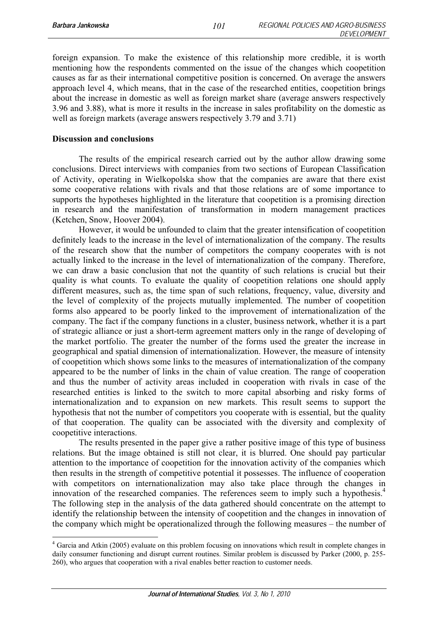foreign expansion. To make the existence of this relationship more credible, it is worth mentioning how the respondents commented on the issue of the changes which coopetition causes as far as their international competitive position is concerned. On average the answers approach level 4, which means, that in the case of the researched entities, coopetition brings about the increase in domestic as well as foreign market share (average answers respectively 3.96 and 3.88), what is more it results in the increase in sales profitability on the domestic as well as foreign markets (average answers respectively 3.79 and 3.71)

*101*

#### **Discussion and conclusions**

The results of the empirical research carried out by the author allow drawing some conclusions. Direct interviews with companies from two sections of European Classification of Activity, operating in Wielkopolska show that the companies are aware that there exist some cooperative relations with rivals and that those relations are of some importance to supports the hypotheses highlighted in the literature that coopetition is a promising direction in research and the manifestation of transformation in modern management practices (Ketchen, Snow, Hoover 2004).

However, it would be unfounded to claim that the greater intensification of coopetition definitely leads to the increase in the level of internationalization of the company. The results of the research show that the number of competitors the company cooperates with is not actually linked to the increase in the level of internationalization of the company. Therefore, we can draw a basic conclusion that not the quantity of such relations is crucial but their quality is what counts. To evaluate the quality of coopetition relations one should apply different measures, such as, the time span of such relations, frequency, value, diversity and the level of complexity of the projects mutually implemented. The number of coopetition forms also appeared to be poorly linked to the improvement of internationalization of the company. The fact if the company functions in a cluster, business network, whether it is a part of strategic alliance or just a short-term agreement matters only in the range of developing of the market portfolio. The greater the number of the forms used the greater the increase in geographical and spatial dimension of internationalization. However, the measure of intensity of coopetition which shows some links to the measures of internationalization of the company appeared to be the number of links in the chain of value creation. The range of cooperation and thus the number of activity areas included in cooperation with rivals in case of the researched entities is linked to the switch to more capital absorbing and risky forms of internationalization and to expansion on new markets. This result seems to support the hypothesis that not the number of competitors you cooperate with is essential, but the quality of that cooperation. The quality can be associated with the diversity and complexity of coopetitive interactions.

The results presented in the paper give a rather positive image of this type of business relations. But the image obtained is still not clear, it is blurred. One should pay particular attention to the importance of coopetition for the innovation activity of the companies which then results in the strength of competitive potential it possesses. The influence of cooperation with competitors on internationalization may also take place through the changes in innovation of the researched companies. The references seem to imply such a hypothesis.<sup>4</sup> The following step in the analysis of the data gathered should concentrate on the attempt to identify the relationship between the intensity of coopetition and the changes in innovation of the company which might be operationalized through the following measures – the number of

<sup>4</sup> Garcia and Atkin (2005) evaluate on this problem focusing on innovations which result in complete changes in daily consumer functioning and disrupt current routines. Similar problem is discussed by Parker (2000, p. 255-260), who argues that cooperation with a rival enables better reaction to customer needs.